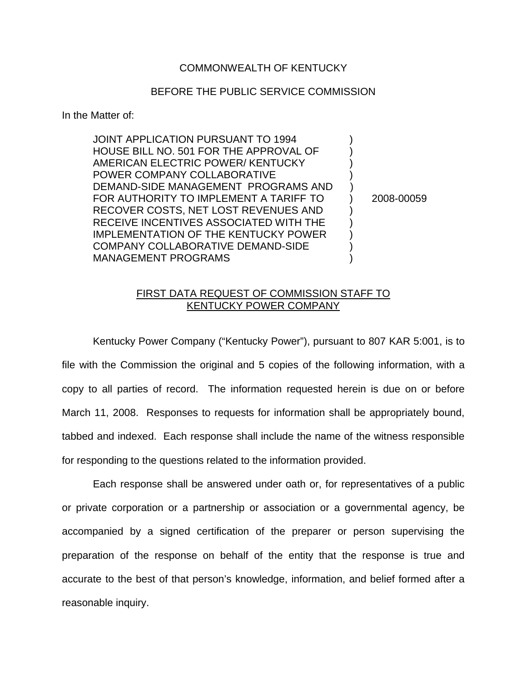## COMMONWEALTH OF KENTUCKY

## BEFORE THE PUBLIC SERVICE COMMISSION

## In the Matter of:

| <b>JOINT APPLICATION PURSUANT TO 1994</b><br>HOUSE BILL NO. 501 FOR THE APPROVAL OF<br>AMERICAN ELECTRIC POWER/KENTUCKY       |            |
|-------------------------------------------------------------------------------------------------------------------------------|------------|
| POWER COMPANY COLLABORATIVE<br>DEMAND-SIDE MANAGEMENT PROGRAMS AND<br>FOR AUTHORITY TO IMPLEMENT A TARIFF TO                  | 2008-00059 |
| RECOVER COSTS, NET LOST REVENUES AND<br>RECEIVE INCENTIVES ASSOCIATED WITH THE<br><b>IMPLEMENTATION OF THE KENTUCKY POWER</b> |            |
| COMPANY COLLABORATIVE DEMAND-SIDE<br><b>MANAGEMENT PROGRAMS</b>                                                               |            |

## FIRST DATA REQUEST OF COMMISSION STAFF TO KENTUCKY POWER COMPANY

Kentucky Power Company ("Kentucky Power"), pursuant to 807 KAR 5:001, is to file with the Commission the original and 5 copies of the following information, with a copy to all parties of record. The information requested herein is due on or before March 11, 2008. Responses to requests for information shall be appropriately bound, tabbed and indexed. Each response shall include the name of the witness responsible for responding to the questions related to the information provided.

Each response shall be answered under oath or, for representatives of a public or private corporation or a partnership or association or a governmental agency, be accompanied by a signed certification of the preparer or person supervising the preparation of the response on behalf of the entity that the response is true and accurate to the best of that person's knowledge, information, and belief formed after a reasonable inquiry.